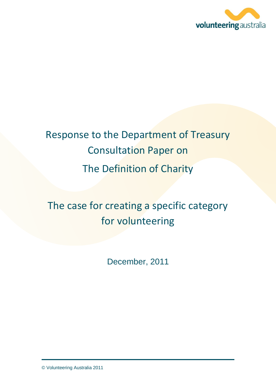

# Response to the Department of Treasury Consultation Paper on The Definition of Charity

## The case for creating a specific category for volunteering

December, 2011

© Volunteering Australia 2011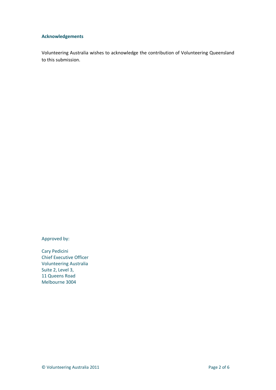#### **Acknowledgements**

Volunteering Australia wishes to acknowledge the contribution of Volunteering Queensland to this submission.

Approved by:

Cary Pedicini Chief Executive Officer Volunteering Australia Suite 2, Level 3, 11 Queens Road Melbourne 3004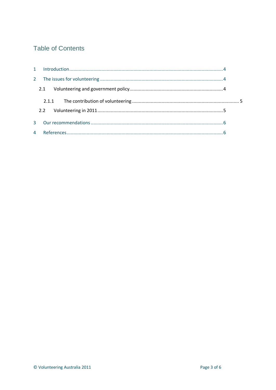## **Table of Contents**

| $2^{\circ}$ |  |
|-------------|--|
|             |  |
|             |  |
|             |  |
| 3           |  |
|             |  |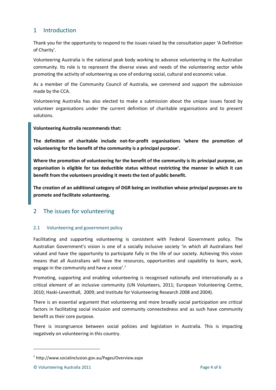## <span id="page-3-0"></span>1 Introduction

Thank you for the opportunity to respond to the issues raised by the consultation paper 'A Definition of Charity'.

Volunteering Australia is the national peak body working to advance volunteering in the Australian community. Its role is to represent the diverse views and needs of the volunteering sector while promoting the activity of volunteering as one of enduring social, cultural and economic value.

As a member of the Community Council of Australia, we commend and support the submission made by the CCA.

Volunteering Australia has also elected to make a submission about the unique issues faced by volunteer organisations under the current definition of charitable organisations and to present solutions.

#### **Volunteering Australia recommends that:**

**The definition of charitable include not-for-profit organisations 'where the promotion of volunteering for the benefit of the community is a principal purpose'.**

**Where the promotion of volunteering for the benefit of the community is its principal purpose, an organisation is eligible for tax deductible status without restricting the manner in which it can benefit from the volunteers providing it meets the test of public benefit.**

**The creation of an additional category of DGR being an institution whose principal purposes are to promote and facilitate volunteering.**

## <span id="page-3-1"></span>2 The issues for volunteering

#### <span id="page-3-2"></span>2.1 Volunteering and government policy

Facilitating and supporting volunteering is consistent with Federal Government policy. The Australian Government's vision is one of a socially inclusive society 'in which all Australians feel valued and have the opportunity to participate fully in the life of our society. Achieving this vision means that all Australians will have the resources, opportunities and capability to learn, work, engage in the community and have a voice'.<sup>1</sup>

Promoting, supporting and enabling volunteering is recognised nationally and internationally as a critical element of an inclusive community (UN Volunteers, 2011; European Volunteering Centre, 2010; Haski-Leventhall, 2009; and Institute for Volunteering Research 2008 and 2004).

There is an essential argument that volunteering and more broadly social participation are critical factors in facilitating social inclusion and community connectedness and as such have community benefit as their core purpose.

There is incongruence between social policies and legislation in Australia. This is impacting negatively on volunteering in this country.

1

<sup>1</sup> http://www.socialinclusion.gov.au/Pages/Overview.aspx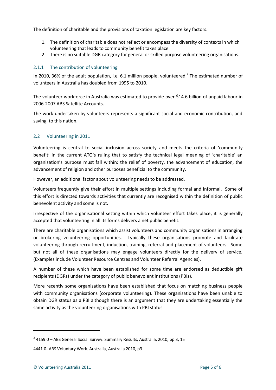The definition of charitable and the provisions of taxation legislation are key factors.

- 1. The definition of charitable does not reflect or encompass the diversity of contexts in which volunteering that leads to community benefit takes place.
- 2. There is no suitable DGR category for general or skilled purpose volunteering organisations.

#### <span id="page-4-0"></span>2.1.1 The contribution of volunteering

In 2010, 36% of the adult population, i.e. 6.1 million people, volunteered.<sup>2</sup> The estimated number of volunteers in Australia has doubled from 1995 to 2010.

The volunteer workforce in Australia was estimated to provide over \$14.6 billion of unpaid labour in 2006-2007 ABS Satellite Accounts.

The work undertaken by volunteers represents a significant social and economic contribution, and saving, to this nation.

#### <span id="page-4-1"></span>2.2 Volunteering in 2011

Volunteering is central to social inclusion across society and meets the criteria of 'community benefit' in the current ATO's ruling that to satisfy the technical legal meaning of 'charitable' an organisation's purpose must fall within: the relief of poverty, the advancement of education, the advancement of religion and other purposes beneficial to the community.

However, an additional factor about volunteering needs to be addressed.

Volunteers frequently give their effort in multiple settings including formal and informal. Some of this effort is directed towards activities that currently are recognised within the definition of public benevolent activity and some is not.

Irrespective of the organisational setting within which volunteer effort takes place, it is generally accepted that volunteering in all its forms delivers a net public benefit.

There are charitable organisations which assist volunteers and community organisations in arranging or brokering volunteering opportunities. Typically these organisations promote and facilitate volunteering through recruitment, induction, training, referral and placement of volunteers. Some but not all of these organisations may engage volunteers directly for the delivery of service. (Examples include Volunteer Resource Centres and Volunteer Referral Agencies).

A number of these which have been established for some time are endorsed as deductible gift recipients (DGRs) under the category of public benevolent institutions (PBIs).

More recently some organisations have been established that focus on matching business people with community organisations (corporate volunteering). These organisations have been unable to obtain DGR status as a PBI although there is an argument that they are undertaking essentially the same activity as the volunteering organisations with PBI status.

1

 $2$  4159.0 – ABS General Social Survey: Summary Results, Australia, 2010, pp 3, 15

<sup>4441.0-</sup> ABS Voluntary Work. Australia, Australia 2010, p3